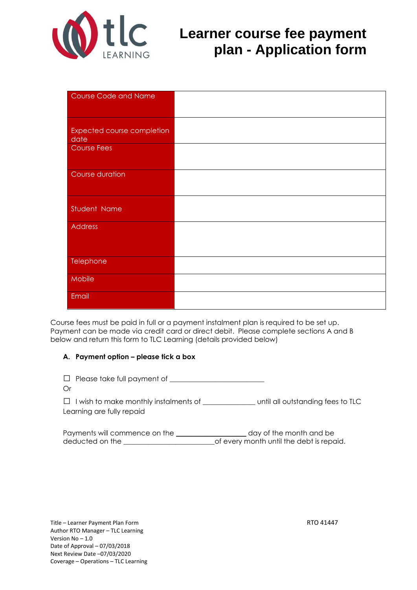

# **Learner** course fee payment **plan - Application form**

| Course Code and Name                      |  |
|-------------------------------------------|--|
|                                           |  |
|                                           |  |
| <b>Expected course completion</b><br>date |  |
| Course Fees                               |  |
|                                           |  |
| Course duration                           |  |
|                                           |  |
|                                           |  |
| Student Name                              |  |
| Address                                   |  |
|                                           |  |
|                                           |  |
| Telephone                                 |  |
|                                           |  |
| Mobile                                    |  |
| Email                                     |  |
|                                           |  |

Course fees must be paid in full or a payment instalment plan is required to be set up. Payment can be made via credit card or direct debit. Please complete sections A and B below and return this form to TLC Learning (details provided below)

#### **A. Payment option – please tick a box**

| $\Box$ Please take full payment of<br>Or                                  |                                   |
|---------------------------------------------------------------------------|-----------------------------------|
| $\Box$ I wish to make monthly instalments of<br>Learning are fully repaid | until all outstanding fees to TLC |
| Baymonts will commonso on the                                             | dought the menth and he           |

| Payments will commence on the | day of the month and be                  |
|-------------------------------|------------------------------------------|
| deducted on the               | of every month until the debt is repaid. |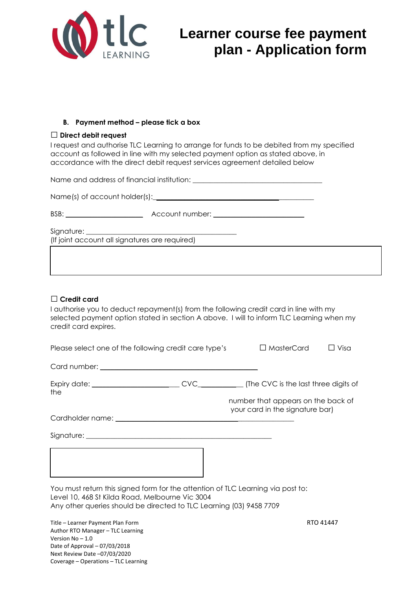

# **Learner course fee payment plan - Application form**

### **B. Payment method – please tick a box**

#### **□ Direct debit request**

I request and authorise TLC Learning to arrange for funds to be debited from my specified account as followed in line with my selected payment option as stated above, in accordance with the direct debit request services agreement detailed below

Name and address of financial institution: \_\_\_\_\_\_\_\_\_\_\_\_\_\_\_\_\_\_\_\_\_\_\_\_\_\_\_\_\_\_\_\_\_\_\_\_\_

Name(s) of account holder(s):

| BSB: | Account number: |  |
|------|-----------------|--|
|      |                 |  |

Signature:

(If joint account all signatures are required)

## □ **Credit card**

I authorise you to deduct repayment(s) from the following credit card in line with my selected payment option stated in section A above. I will to inform TLC Learning when my credit card expires.

| Please select one of the following credit care type's                                                                                                                                                     |  |  | $\Box$ MasterCard                                                     | ⊥ Visa    |
|-----------------------------------------------------------------------------------------------------------------------------------------------------------------------------------------------------------|--|--|-----------------------------------------------------------------------|-----------|
|                                                                                                                                                                                                           |  |  |                                                                       |           |
| the                                                                                                                                                                                                       |  |  |                                                                       |           |
|                                                                                                                                                                                                           |  |  | number that appears on the back of<br>your card in the signature bar) |           |
|                                                                                                                                                                                                           |  |  |                                                                       |           |
|                                                                                                                                                                                                           |  |  |                                                                       |           |
|                                                                                                                                                                                                           |  |  |                                                                       |           |
| You must return this signed form for the attention of TLC Learning via post to:<br>Level 10, 468 St Kilda Road, Melbourne Vic 3004<br>Any other queries should be directed to TLC Learning (03) 9458 7709 |  |  |                                                                       |           |
| Title - Learner Payment Plan Form                                                                                                                                                                         |  |  |                                                                       | RTO 41447 |

Author RTO Manager – TLC Learning Version No – 1.0 Date of Approval – 07/03/2018 Next Review Date –07/03/2020 Coverage – Operations – TLC Learning